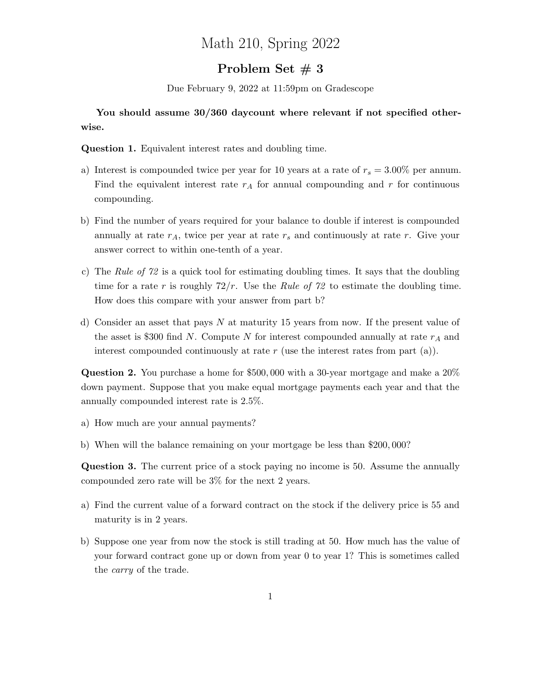## Math 210, Spring 2022

## Problem Set  $\# 3$

Due February 9, 2022 at 11:59pm on Gradescope

## You should assume  $30/360$  daycount where relevant if not specified otherwise.

Question 1. Equivalent interest rates and doubling time.

- a) Interest is compounded twice per year for 10 years at a rate of  $r_s = 3.00\%$  per annum. Find the equivalent interest rate  $r_A$  for annual compounding and r for continuous compounding.
- b) Find the number of years required for your balance to double if interest is compounded annually at rate  $r_A$ , twice per year at rate  $r_s$  and continuously at rate r. Give your answer correct to within one-tenth of a year.
- c) The Rule of 72 is a quick tool for estimating doubling times. It says that the doubling time for a rate r is roughly  $72/r$ . Use the Rule of 72 to estimate the doubling time. How does this compare with your answer from part b?
- d) Consider an asset that pays N at maturity 15 years from now. If the present value of the asset is \$300 find N. Compute N for interest compounded annually at rate  $r_A$  and interest compounded continuously at rate  $r$  (use the interest rates from part (a)).

Question 2. You purchase a home for \$500, 000 with a 30-year mortgage and make a 20% down payment. Suppose that you make equal mortgage payments each year and that the annually compounded interest rate is 2.5%.

- a) How much are your annual payments?
- b) When will the balance remaining on your mortgage be less than \$200, 000?

Question 3. The current price of a stock paying no income is 50. Assume the annually compounded zero rate will be 3% for the next 2 years.

- a) Find the current value of a forward contract on the stock if the delivery price is 55 and maturity is in 2 years.
- b) Suppose one year from now the stock is still trading at 50. How much has the value of your forward contract gone up or down from year 0 to year 1? This is sometimes called the carry of the trade.